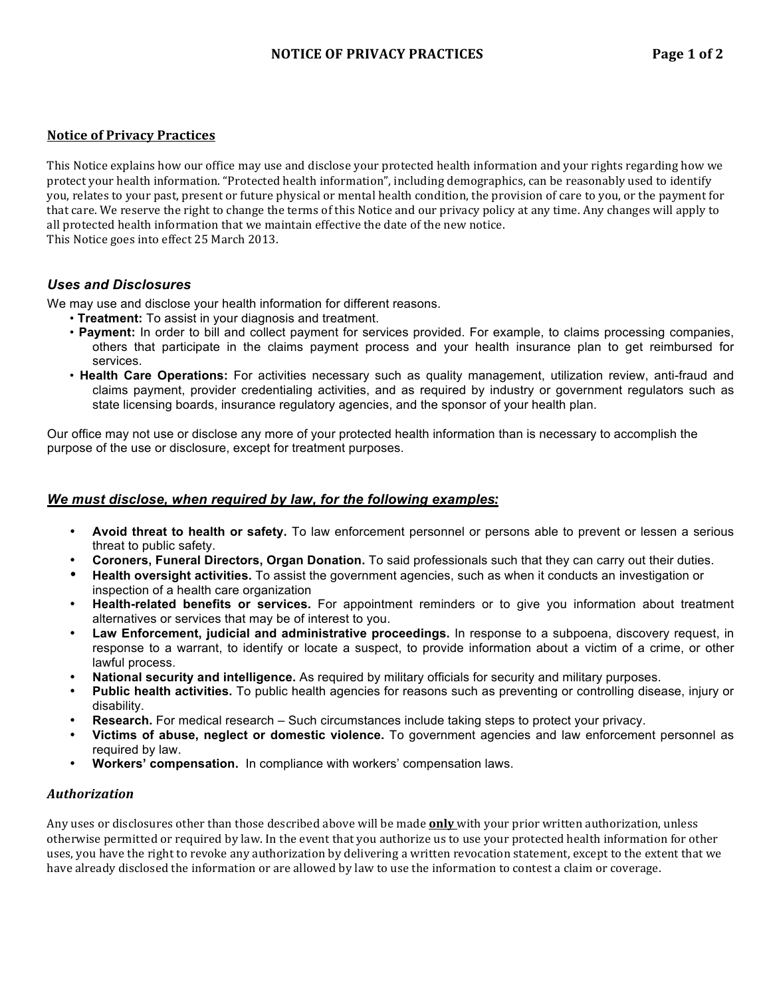This Notice explains how our office may use and disclose your protected health information and your rights regarding how we protect your health information. "Protected health information", including demographics, can be reasonably used to identify you, relates to your past, present or future physical or mental health condition, the provision of care to you, or the payment for that care. We reserve the right to change the terms of this Notice and our privacy policy at any time. Any changes will apply to all protected health information that we maintain effective the date of the new notice. This Notice goes into effect 25 March 2013.

# *Uses and Disclosures*

We may use and disclose your health information for different reasons.

- **Treatment:** To assist in your diagnosis and treatment.
- **Payment:** In order to bill and collect payment for services provided. For example, to claims processing companies, others that participate in the claims payment process and your health insurance plan to get reimbursed for services.
- **Health Care Operations:** For activities necessary such as quality management, utilization review, anti-fraud and claims payment, provider credentialing activities, and as required by industry or government regulators such as state licensing boards, insurance regulatory agencies, and the sponsor of your health plan.

Our office may not use or disclose any more of your protected health information than is necessary to accomplish the purpose of the use or disclosure, except for treatment purposes.

## *We must disclose, when required by law, for the following examples:*

- **Avoid threat to health or safety.** To law enforcement personnel or persons able to prevent or lessen a serious threat to public safety.
- **Coroners, Funeral Directors, Organ Donation.** To said professionals such that they can carry out their duties.
- **Health oversight activities.** To assist the government agencies, such as when it conducts an investigation or inspection of a health care organization
- **Health-related benefits or services.** For appointment reminders or to give you information about treatment alternatives or services that may be of interest to you.
- **Law Enforcement, judicial and administrative proceedings.** In response to a subpoena, discovery request, in response to a warrant, to identify or locate a suspect, to provide information about a victim of a crime, or other lawful process.
- **National security and intelligence.** As required by military officials for security and military purposes.
- **Public health activities.** To public health agencies for reasons such as preventing or controlling disease, injury or disability.
- **Research.** For medical research Such circumstances include taking steps to protect your privacy.
- **Victims of abuse, neglect or domestic violence.** To government agencies and law enforcement personnel as required by law.
- **Workers' compensation.** In compliance with workers' compensation laws.

### *Authorization+*

Any uses or disclosures other than those described above will be made **only** with your prior written authorization, unless otherwise permitted or required by law. In the event that you authorize us to use your protected health information for other uses, you have the right to revoke any authorization by delivering a written revocation statement, except to the extent that we have already disclosed the information or are allowed by law to use the information to contest a claim or coverage.